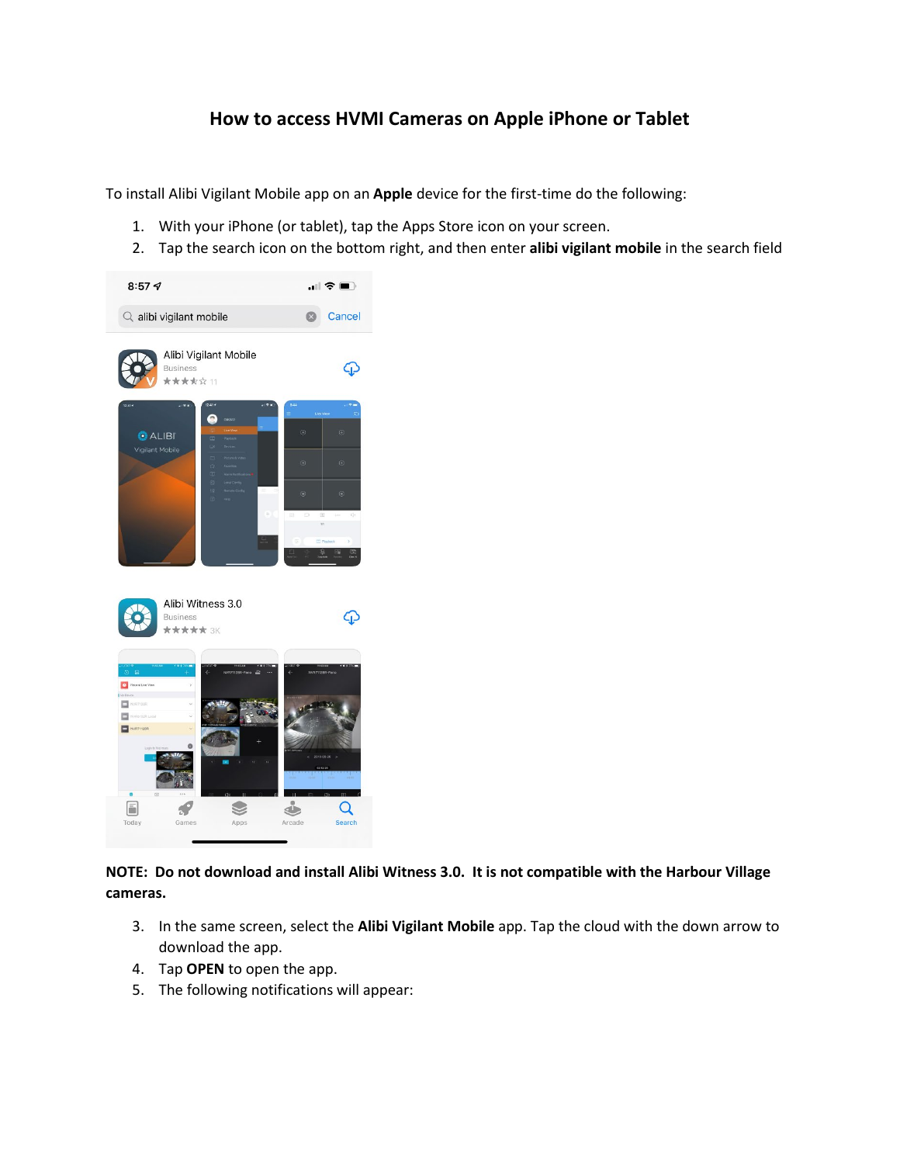## **How to access HVMI Cameras on Apple iPhone or Tablet**

To install Alibi Vigilant Mobile app on an **Apple** device for the first-time do the following:

- 1. With your iPhone (or tablet), tap the Apps Store icon on your screen.
- 2. Tap the search icon on the bottom right, and then enter **alibi vigilant mobile** in the search field



**NOTE: Do not download and install Alibi Witness 3.0. It is not compatible with the Harbour Village cameras.**

- 3. In the same screen, select the **Alibi Vigilant Mobile** app. Tap the cloud with the down arrow to download the app.
- 4. Tap **OPEN** to open the app.
- 5. The following notifications will appear: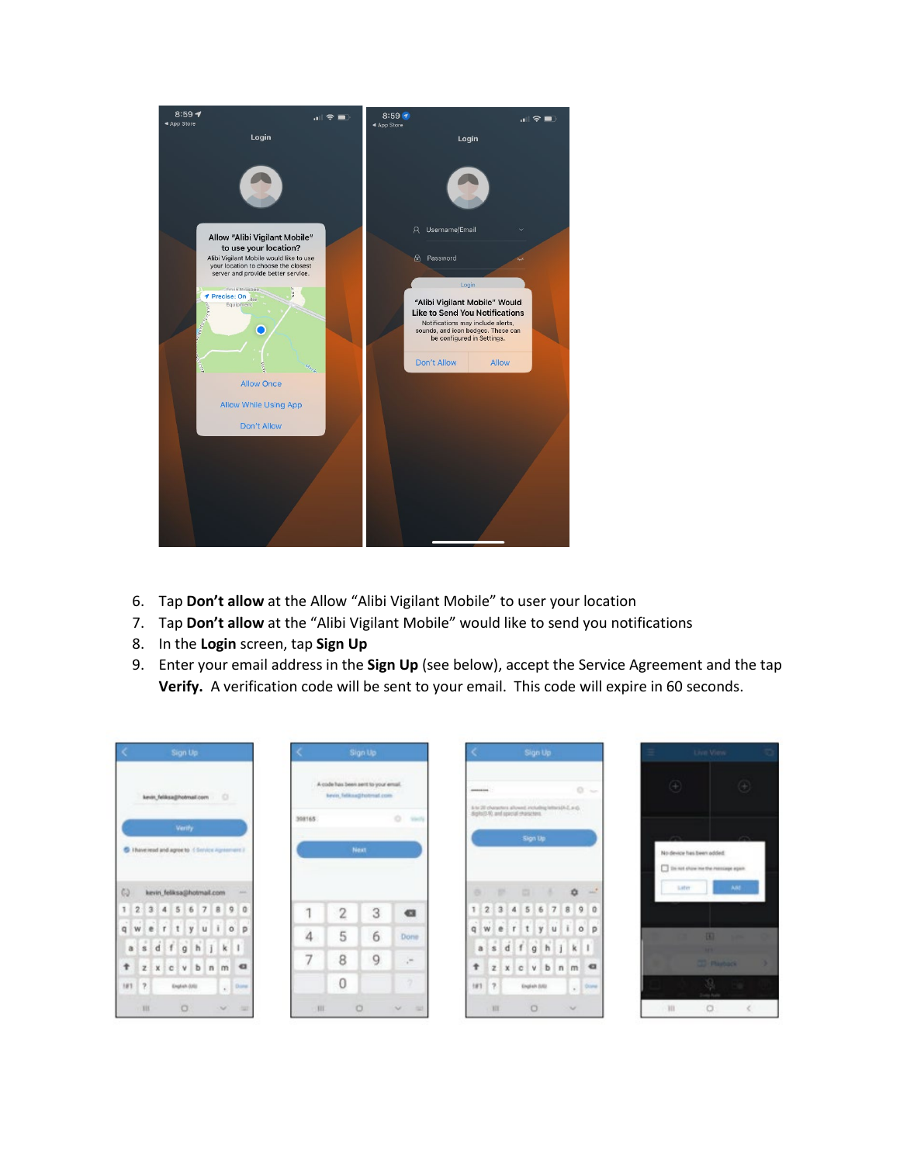

- 6. Tap **Don't allow** at the Allow "Alibi Vigilant Mobile" to user your location
- 7. Tap **Don't allow** at the "Alibi Vigilant Mobile" would like to send you notifications
- 8. In the **Login** screen, tap **Sign Up**
- 9. Enter your email address in the **Sign Up** (see below), accept the Service Agreement and the tap **Verify.** A verification code will be sent to your email. This code will expire in 60 seconds.

| $\prec$<br>Sign Up                                                        |                |                                     | Sign Up                   |                      |              |              |          |     | Sign Up                                                                                                         |     |              |                          |             | Live View                                                       |  |
|---------------------------------------------------------------------------|----------------|-------------------------------------|---------------------------|----------------------|--------------|--------------|----------|-----|-----------------------------------------------------------------------------------------------------------------|-----|--------------|--------------------------|-------------|-----------------------------------------------------------------|--|
| $\circ$<br>kevin, feliksa@hotmail.com                                     |                | A code has been sent to your email. | kevin, falkna@hotmail.com |                      | ASSESSMENT   |              |          |     |                                                                                                                 |     |              | $0 -$                    | $\bigoplus$ |                                                                 |  |
| <b>Verify</b>                                                             | 398165         |                                     |                           | ö<br><b>Standing</b> |              |              |          |     | $\Delta$ to 20 characters allowed including letters (A-2, a-c). Highs (D-R), and special characters.<br>Sign Up |     |              |                          |             |                                                                 |  |
| 6 Thave read and agree to if finnice Agreement 2                          |                |                                     | Next.                     |                      |              |              |          |     |                                                                                                                 |     |              |                          |             | No device has been added<br>This not show me the message again. |  |
| $C_{2}$<br>kevin, feliksa@hotmail.com<br>sic.                             |                |                                     |                           |                      | $\alpha$     |              | ×        | 四   |                                                                                                                 |     | $\alpha$     | $\mathcal{M}$            | Later       |                                                                 |  |
| 4 5 6 7 8 9 0<br>$1 \quad 2$<br>$-3$                                      | ×              | 2                                   | 3                         | $\alpha$             | 1            |              | 234      | 5 6 |                                                                                                                 | 7 8 |              | 9<br>$\ddot{\mathbf{u}}$ |             |                                                                 |  |
| $\pm$<br>q w<br>Ξt<br>(y<br>u<br>e<br>$\circ$<br>$\Gamma$<br>D            | $\overline{4}$ | 5                                   | 6                         | Done                 | $\mathbf{q}$ | w            | e<br>i r | ty  |                                                                                                                 | l u | $\mathbf{1}$ | $\circ$<br>p             |             | 133                                                             |  |
| as d f g h j k l                                                          |                |                                     |                           |                      |              | $a$ s        | d        |     | fghjk                                                                                                           |     |              | œ                        |             |                                                                 |  |
| b<br>$\alpha$<br>Ť<br>$\mathbf{z}$<br>X C<br>÷.v<br>(n)<br>I <sub>m</sub> | 7              | 8                                   | 9                         | Æ                    | ÷            | $\mathbf{z}$ | x        | CV  |                                                                                                                 |     | $b$ $n$ $m$  | $\alpha$                 |             | <b>CO manuel</b>                                                |  |
| $181 - 2$<br>English (OS)<br>$_{\star}$ . Dang                            |                | 0                                   |                           | 9ì                   |              | $181 - 7$    |          |     | English (US)                                                                                                    |     |              | . 0000                   |             | $\bullet$<br><b>Controlled Avenue</b>                           |  |
|                                                                           |                |                                     |                           |                      |              |              |          |     |                                                                                                                 |     |              |                          |             |                                                                 |  |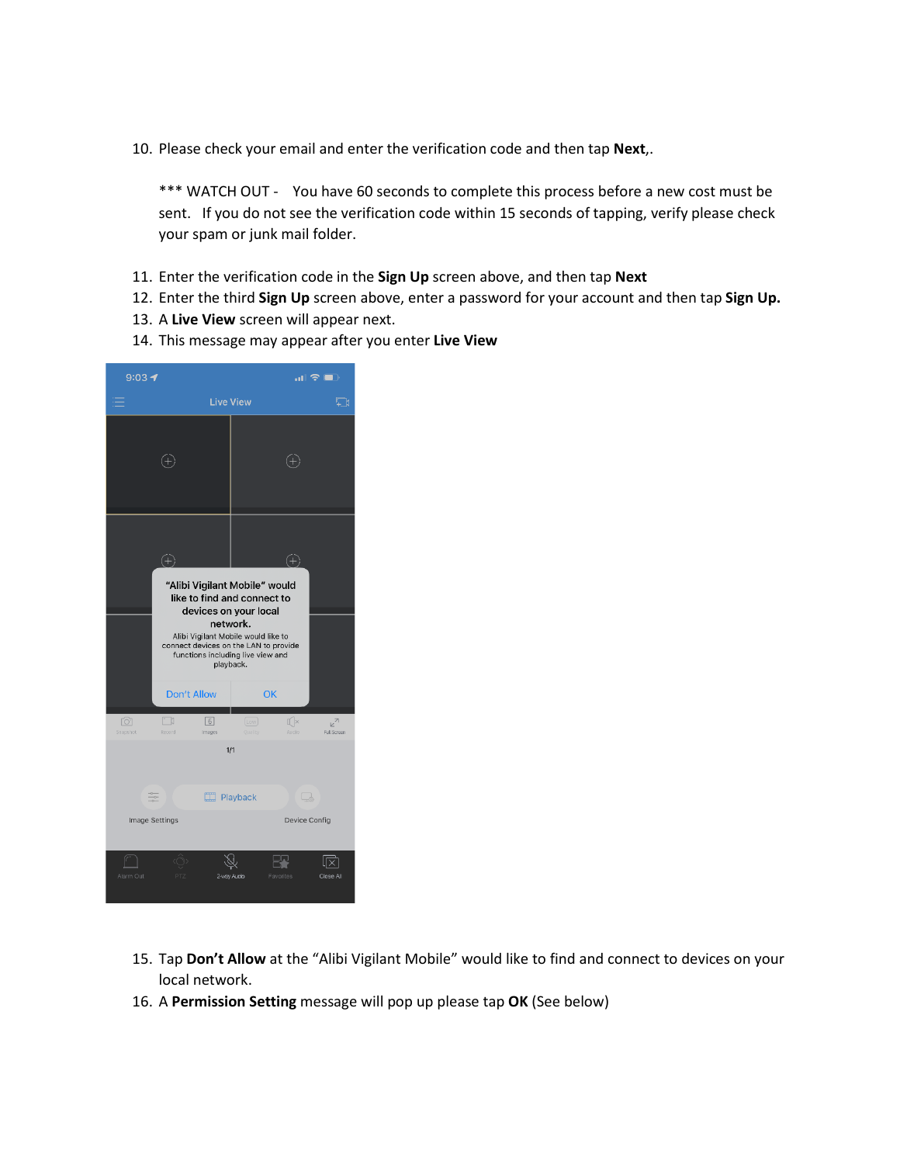10. Please check your email and enter the verification code and then tap **Next**,.

\*\*\* WATCH OUT - You have 60 seconds to complete this process before a new cost must be sent. If you do not see the verification code within 15 seconds of tapping, verify please check your spam or junk mail folder.

- 11. Enter the verification code in the **Sign Up** screen above, and then tap **Next**
- 12. Enter the third **Sign Up** screen above, enter a password for your account and then tap **Sign Up.**
- 13. A **Live View** screen will appear next.
- 14. This message may appear after you enter **Live View**



- 15. Tap **Don't Allow** at the "Alibi Vigilant Mobile" would like to find and connect to devices on your local network.
- 16. A **Permission Setting** message will pop up please tap **OK** (See below)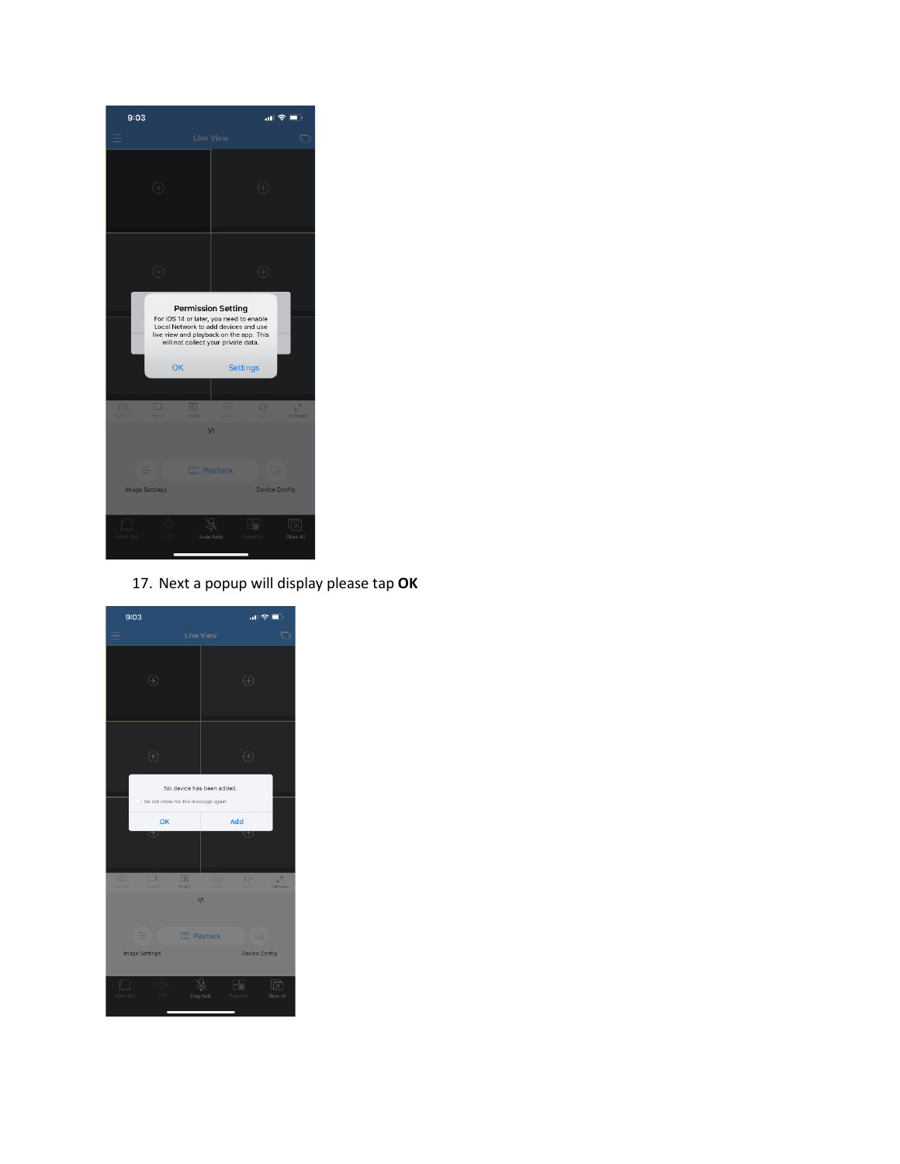

## 17. Next a popup will display please tap **OK**

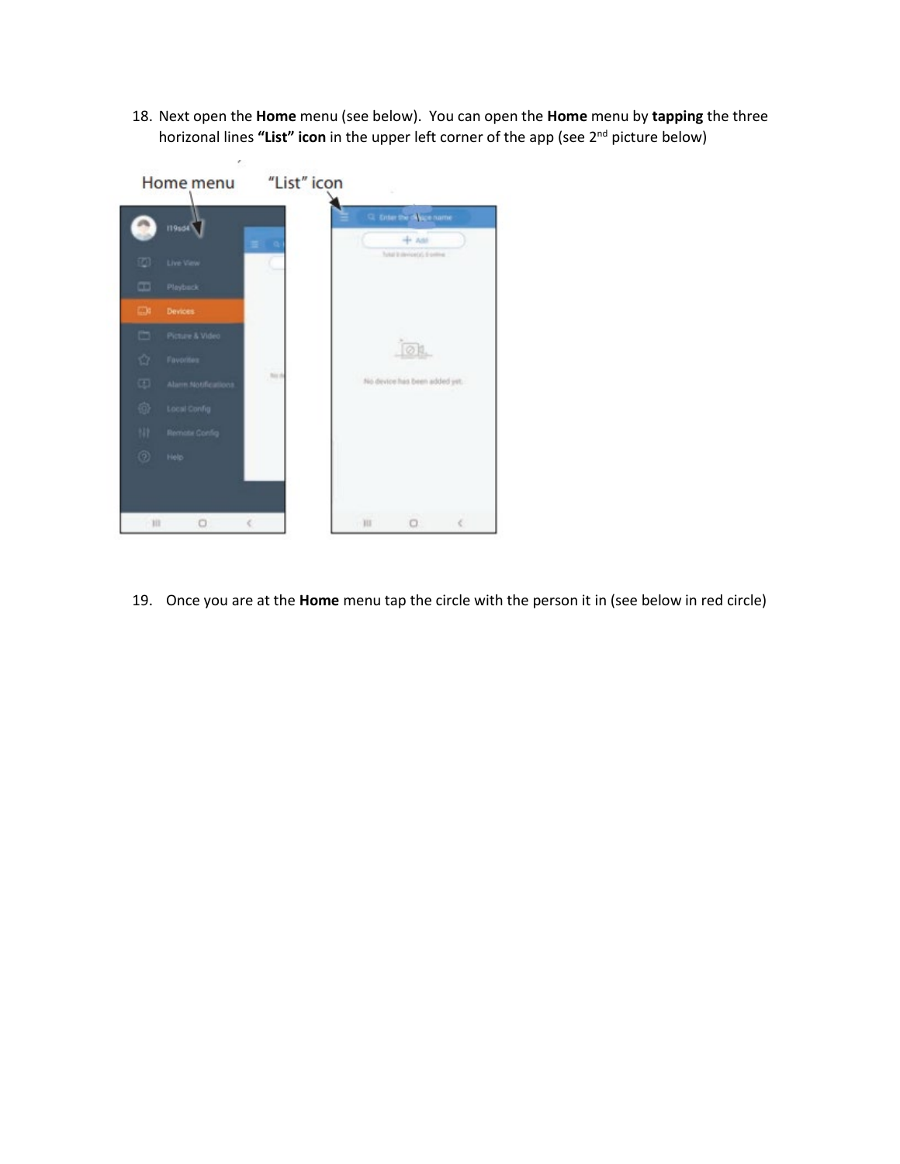18. Next open the **Home** menu (see below). You can open the **Home** menu by **tapping** the three horizonal lines **"List" icon** in the upper left corner of the app (see 2nd picture below)



19. Once you are at the **Home** menu tap the circle with the person it in (see below in red circle)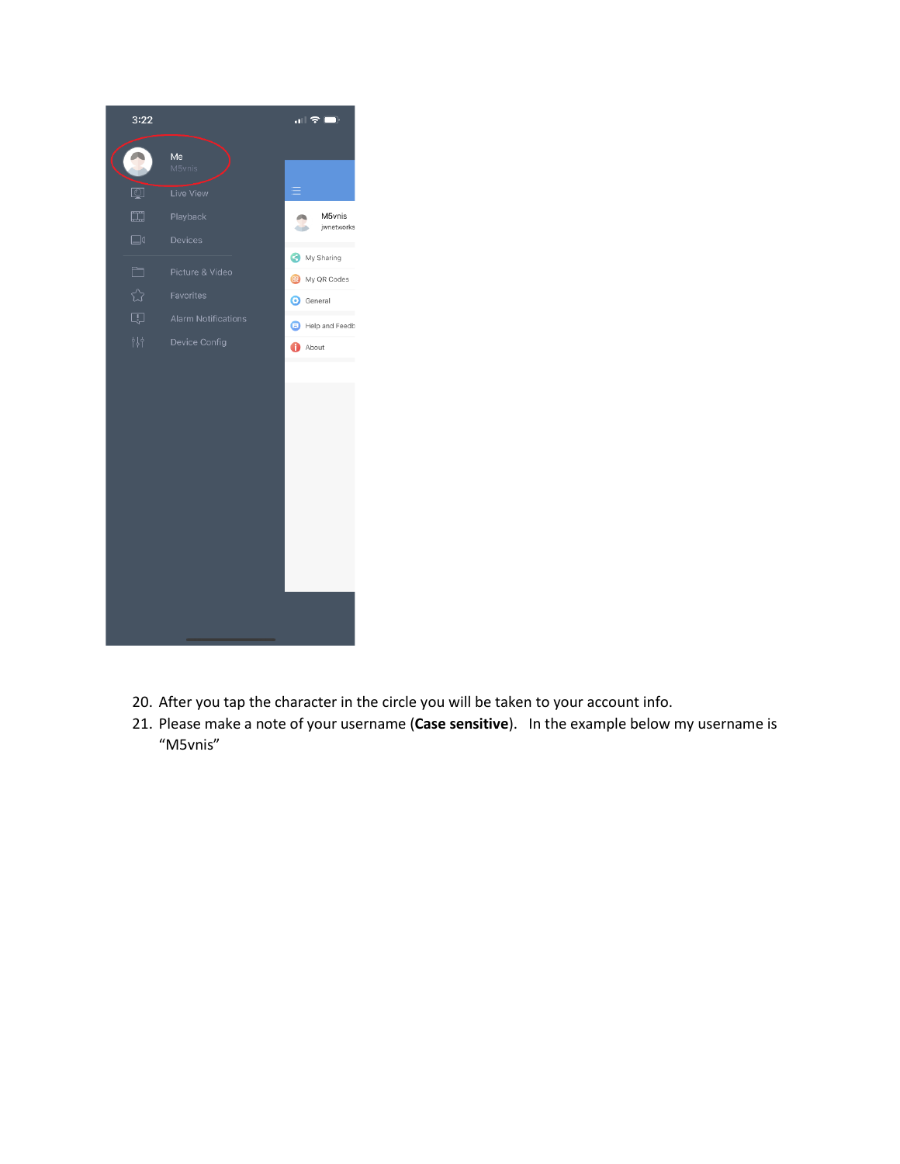

- 20. After you tap the character in the circle you will be taken to your account info.
- 21. Please make a note of your username (**Case sensitive**). In the example below my username is "M5vnis"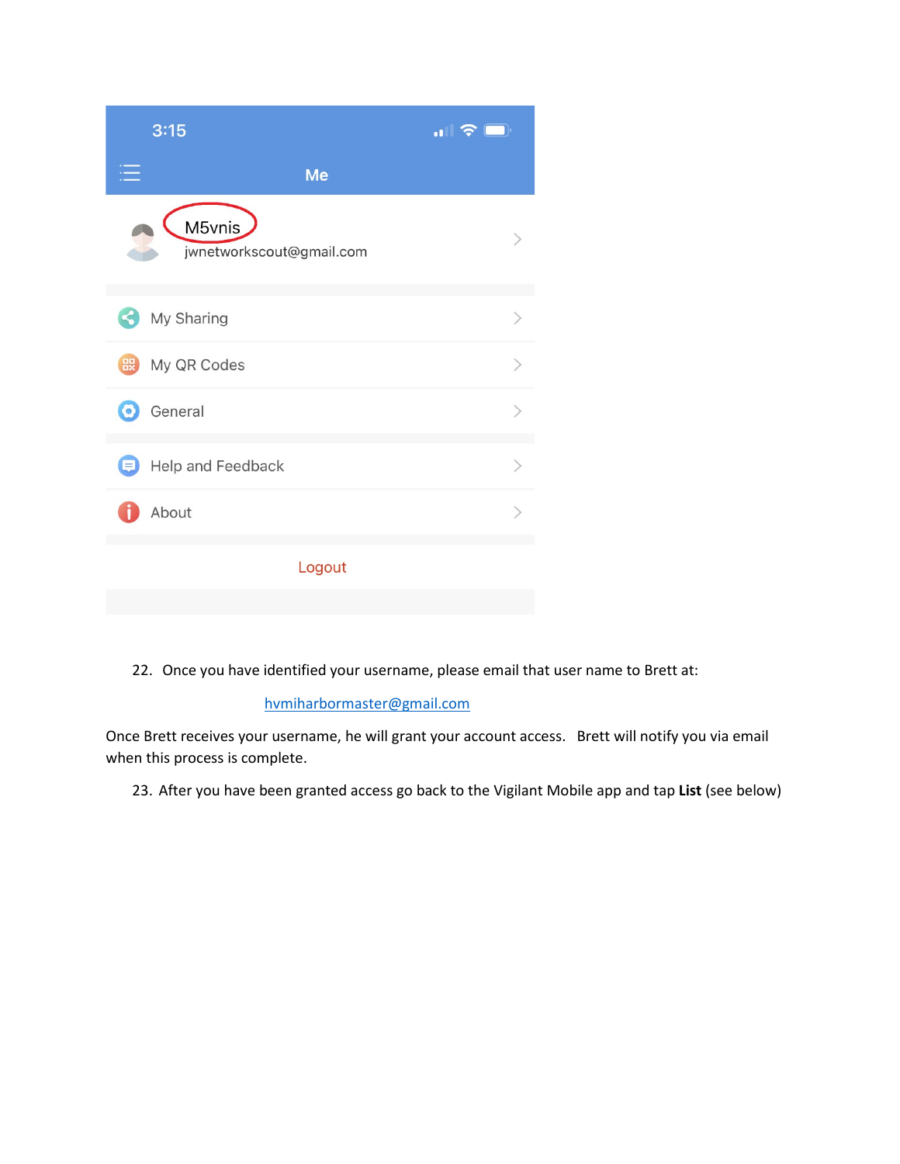| 3:15                   |                          | $\blacksquare$ $\widehat{\mathcal{F}}$ $\blacksquare$ |
|------------------------|--------------------------|-------------------------------------------------------|
|                        | Me                       |                                                       |
| M5vnis                 | jwnetworkscout@gmail.com |                                                       |
| My Sharing<br>×.       |                          | $\mathcal{P}$                                         |
| My QR Codes            |                          | $\rm{>}$                                              |
| General<br>$\odot$     |                          | $\mathcal{P}$                                         |
| Help and Feedback<br>ョ |                          | $\geq$                                                |
| About                  |                          | $\mathcal{E}$                                         |
|                        | Logout                   |                                                       |

22. Once you have identified your username, please email that user name to Brett at:

## [hvmiharbormaster@gmail.com](mailto:hvmiharbormaster@gmail.com)

Once Brett receives your username, he will grant your account access. Brett will notify you via email when this process is complete.

23. After you have been granted access go back to the Vigilant Mobile app and tap **List** (see below)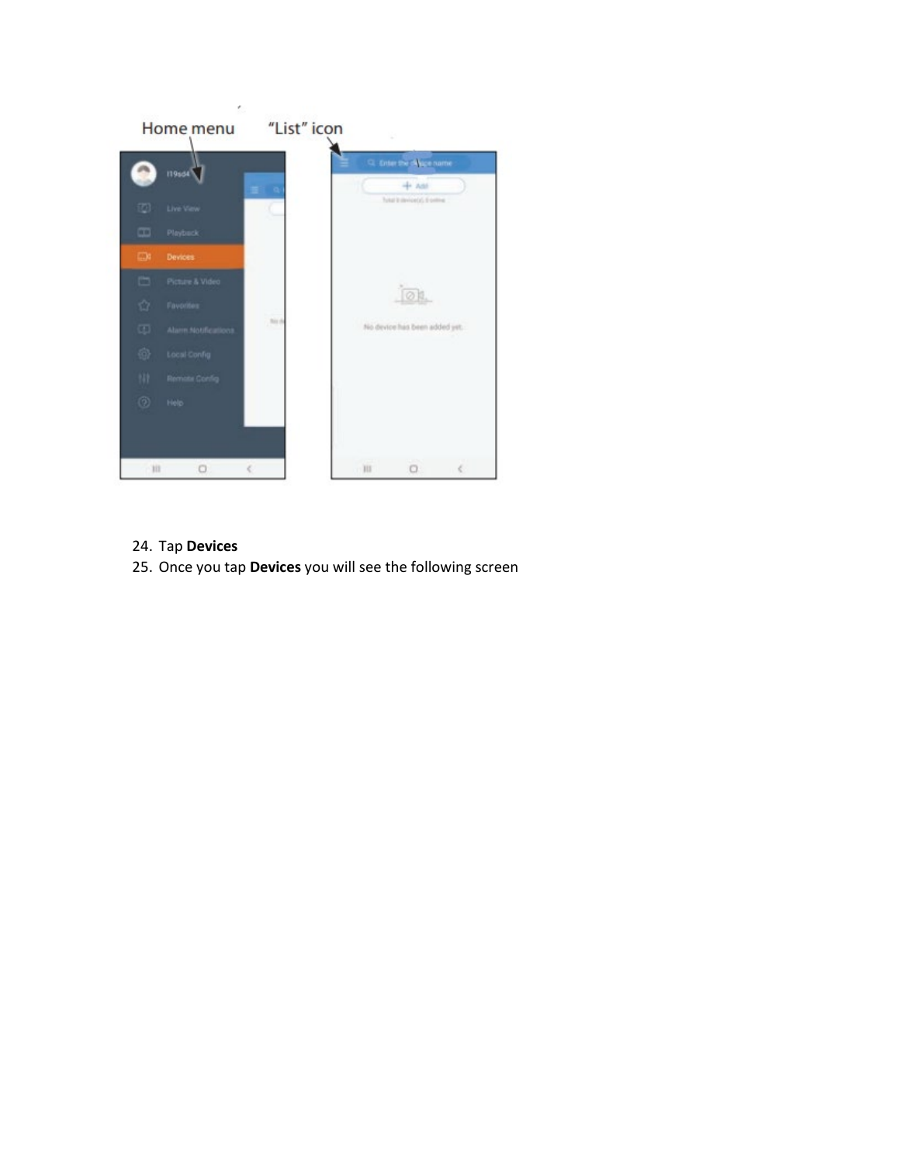

- 24. Tap **Devices**
- 25. Once you tap **Devices** you will see the following screen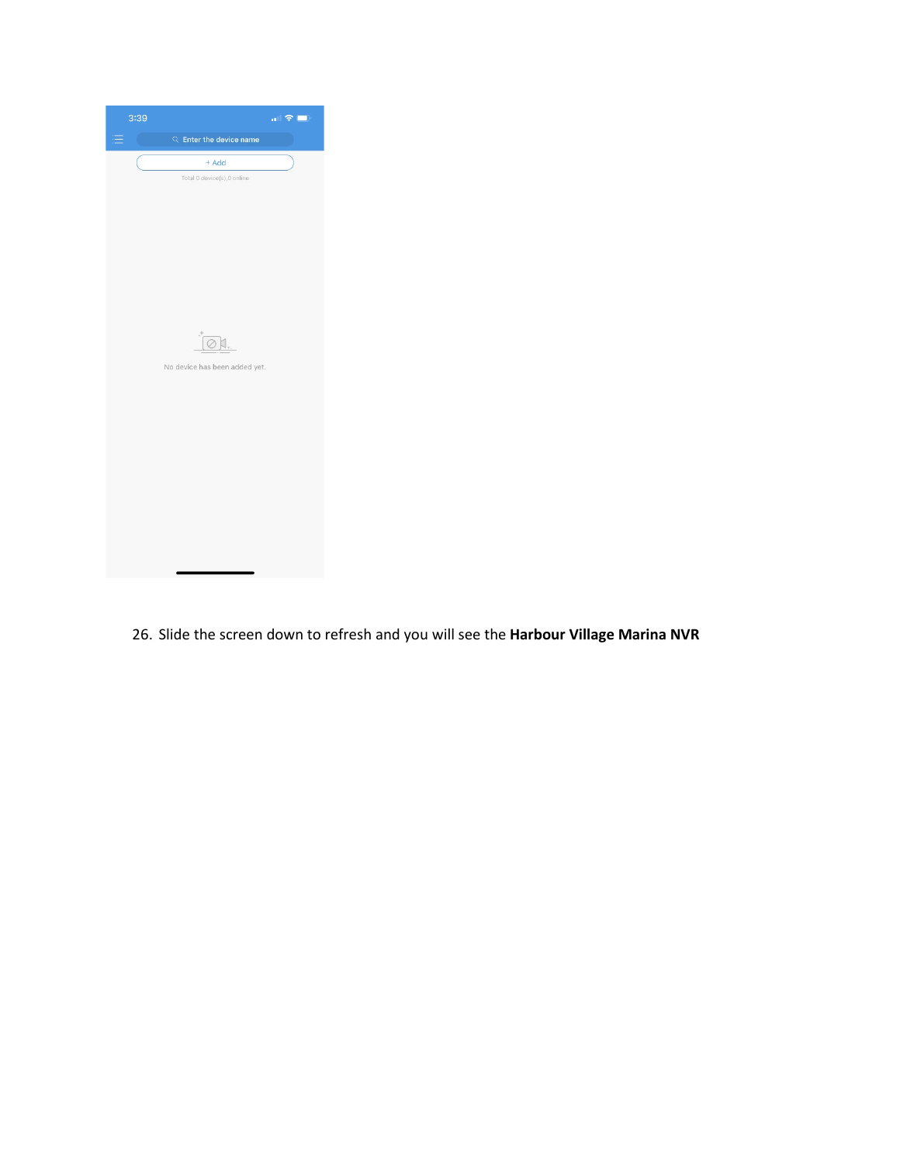

26. Slide the screen down to refresh and you will see the **Harbour Village Marina NVR**